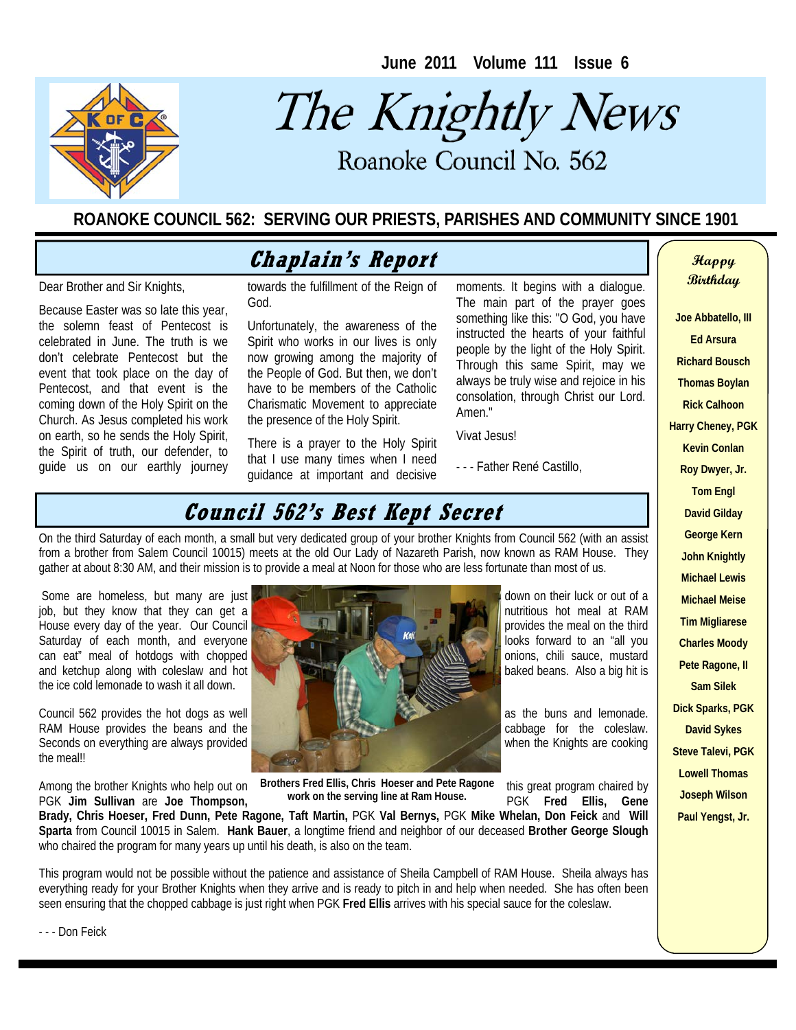**June 2011 Volume 111 Issue 6** 



# The Knightly News

Roanoke Council No. 562 Roanoke Council No. 562

#### **ROANOKE COUNCIL 562: SERVING OUR PRIESTS, PARISHES AND COMMUNITY SINCE 1901**

#### **Chaplain's Report Chaplain's Report**

Dear Brother and Sir Knights,

Because Easter was so late this year, the solemn feast of Pentecost is celebrated in June. The truth is we don't celebrate Pentecost but the event that took place on the day of Pentecost, and that event is the coming down of the Holy Spirit on the Church. As Jesus completed his work on earth, so he sends the Holy Spirit, the Spirit of truth, our defender, to guide us on our earthly journey towards the fulfillment of the Reign of God.

Unfortunately, the awareness of the Spirit who works in our lives is only now growing among the majority of the People of God. But then, we don't have to be members of the Catholic Charismatic Movement to appreciate the presence of the Holy Spirit.

There is a prayer to the Holy Spirit that I use many times when I need guidance at important and decisive moments. It begins with a dialogue. The main part of the prayer goes something like this: "O God, you have instructed the hearts of your faithful people by the light of the Holy Spirit. Through this same Spirit, may we always be truly wise and rejoice in his consolation, through Christ our Lord. Amen<sup>"</sup>

Vivat Jesus!

- - - Father René Castillo,

### **Council 562's Best Kept Secret**

On the third Saturday of each month, a small but very dedicated group of your brother Knights from Council 562 (with an assist from a brother from Salem Council 10015) meets at the old Our Lady of Nazareth Parish, now known as RAM House. They gather at about 8:30 AM, and their mission is to provide a meal at Noon for those who are less fortunate than most of us.

House every day of the year. Our Council the ice cold lemonade to wash it all down.

RAM House provides the beans and the the meal!!

PGK **Jim Sullivan** are **Joe Thompson**,



Among the brother Knights who help out on Brothers Fred Ellis, Chris Hoeser and Pete Ragone this great program chaired by<br>PGK Jim Sullivan are Joe Thompson, work on the serving line at Ram House. PGK Fred Ellis, Gene **Brothers Fred Ellis, Chris Hoeser and Pete Ragone work on the serving line at Ram House.** 

**Brady, Chris Hoeser, Fred Dunn, Pete Ragone, Taft Martin,** PGK **Val Bernys,** PGK **Mike Whelan, Don Feick** and **Will Sparta** from Council 10015 in Salem. **Hank Bauer**, a longtime friend and neighbor of our deceased **Brother George Slough**  who chaired the program for many years up until his death, is also on the team.

This program would not be possible without the patience and assistance of Sheila Campbell of RAM House. Sheila always has everything ready for your Brother Knights when they arrive and is ready to pitch in and help when needed. She has often been seen ensuring that the chopped cabbage is just right when PGK **Fred Ellis** arrives with his special sauce for the coleslaw.

**Ed Arsura Richard Bousch Thomas Boylan Rick Calhoon Harry Cheney, PGK Kevin Conlan Roy Dwyer, Jr. Tom Engl David Gilday George Kern John Knightly Michael Lewis Michael Meise Tim Migliarese Charles Moody Pete Ragone, II Sam Silek Dick Sparks, PGK** 

**David Sykes Steve Talevi, PGK Lowell Thomas Joseph Wilson Paul Yengst, Jr.** 

**Birthday** 

**Joe Abbatello, III** 

- - - Don Feick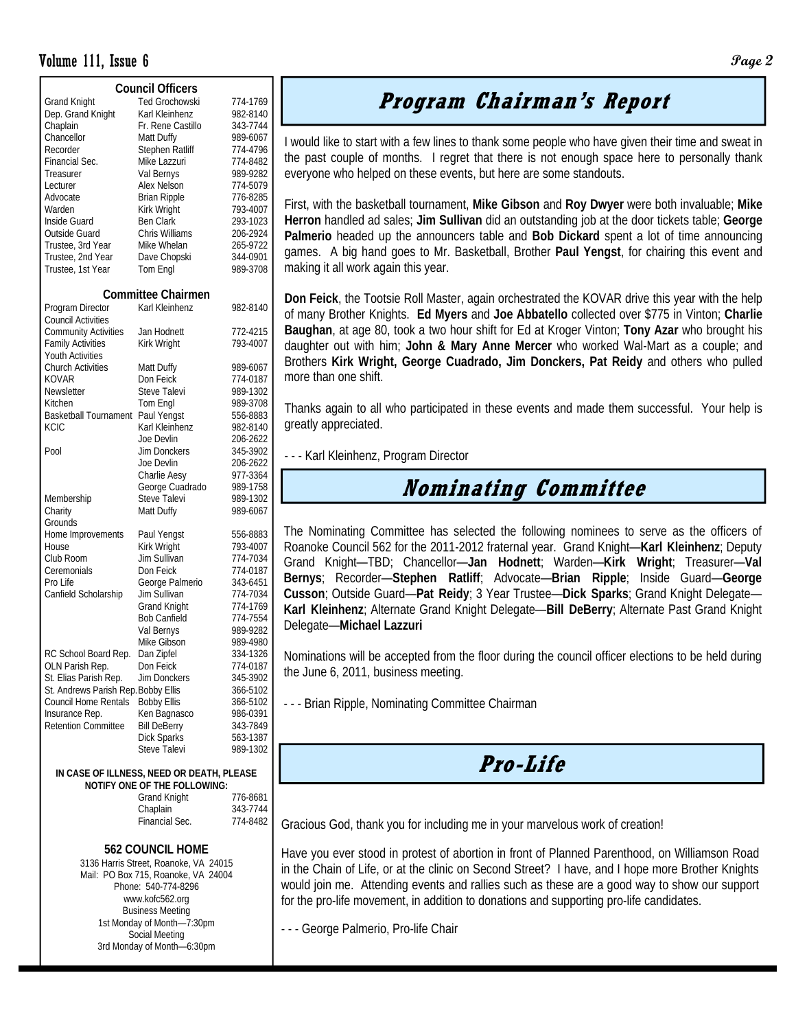#### Volume 111, Issue 6 **Page 2**

| <b>Council Officers</b>                   |                           |          |  |  |  |  |  |
|-------------------------------------------|---------------------------|----------|--|--|--|--|--|
| <b>Grand Knight</b>                       | Ted Grochowski            | 774-1769 |  |  |  |  |  |
| Dep. Grand Knight                         | Karl Kleinhenz            | 982-8140 |  |  |  |  |  |
| Chaplain                                  | Fr. Rene Castillo         | 343-7744 |  |  |  |  |  |
| Chancellor                                | Matt Duffy                | 989-6067 |  |  |  |  |  |
| Recorder                                  | Stephen Ratliff           | 774-4796 |  |  |  |  |  |
| Financial Sec.                            | Mike Lazzuri              | 774-8482 |  |  |  |  |  |
| Treasurer                                 | Val Bernys                | 989-9282 |  |  |  |  |  |
| Lecturer                                  | Alex Nelson               | 774-5079 |  |  |  |  |  |
| Advocate                                  | <b>Brian Ripple</b>       | 776-8285 |  |  |  |  |  |
| Warden                                    | Kirk Wright               | 793-4007 |  |  |  |  |  |
| Inside Guard                              | <b>Ben Clark</b>          | 293-1023 |  |  |  |  |  |
| Outside Guard                             | Chris Williams            | 206-2924 |  |  |  |  |  |
| Trustee, 3rd Year                         | Mike Whelan               | 265-9722 |  |  |  |  |  |
| Trustee, 2nd Year                         | Dave Chopski              | 344-0901 |  |  |  |  |  |
| Trustee, 1st Year                         | Tom Engl                  | 989-3708 |  |  |  |  |  |
|                                           |                           |          |  |  |  |  |  |
|                                           | <b>Committee Chairmen</b> |          |  |  |  |  |  |
| Program Director                          | Karl Kleinhenz            | 982-8140 |  |  |  |  |  |
| <b>Council Activities</b>                 |                           |          |  |  |  |  |  |
| <b>Community Activities</b>               | Jan Hodnett               | 772-4215 |  |  |  |  |  |
| <b>Family Activities</b>                  | Kirk Wright               | 793-4007 |  |  |  |  |  |
| <b>Youth Activities</b>                   |                           |          |  |  |  |  |  |
| <b>Church Activities</b>                  | Matt Duffy                | 989-6067 |  |  |  |  |  |
| KOVAR                                     | Don Feick                 | 774-0187 |  |  |  |  |  |
| Newsletter                                | <b>Steve Talevi</b>       | 989-1302 |  |  |  |  |  |
| Kitchen                                   | Tom Engl                  | 989-3708 |  |  |  |  |  |
| <b>Basketball Tournament</b>              | Paul Yengst               | 556-8883 |  |  |  |  |  |
| KCIC                                      | Karl Kleinhenz            | 982-8140 |  |  |  |  |  |
|                                           | Joe Devlin                | 206-2622 |  |  |  |  |  |
| Pool                                      | Jim Donckers              | 345-3902 |  |  |  |  |  |
|                                           | Joe Devlin                | 206-2622 |  |  |  |  |  |
|                                           | Charlie Aesy              | 977-3364 |  |  |  |  |  |
|                                           | George Cuadrado           | 989-1758 |  |  |  |  |  |
| Membership                                | Steve Talevi              | 989-1302 |  |  |  |  |  |
| Charity                                   | Matt Duffy                | 989-6067 |  |  |  |  |  |
| Grounds                                   |                           |          |  |  |  |  |  |
| Home Improvements                         | Paul Yengst               | 556-8883 |  |  |  |  |  |
| House                                     | Kirk Wright               | 793-4007 |  |  |  |  |  |
| Club Room                                 | Jim Sullivan              | 774-7034 |  |  |  |  |  |
| Ceremonials                               | Don Feick                 | 774-0187 |  |  |  |  |  |
| Pro Life                                  | George Palmerio           | 343-6451 |  |  |  |  |  |
| Canfield Scholarship                      | Jim Sullivan              | 774-7034 |  |  |  |  |  |
|                                           | <b>Grand Knight</b>       | 774-1769 |  |  |  |  |  |
|                                           | <b>Bob Canfield</b>       | 774-7554 |  |  |  |  |  |
|                                           | Val Bernys                | 989-9282 |  |  |  |  |  |
|                                           | Mike Gibson               | 989-4980 |  |  |  |  |  |
| RC School Board Rep.                      | Dan Zipfel                | 334-1326 |  |  |  |  |  |
| OLN Parish Rep.                           | Don Feick                 | 774-0187 |  |  |  |  |  |
| St. Elias Parish Rep.                     | Jim Donckers              | 345-3902 |  |  |  |  |  |
| St. Andrews Parish Rep. Bobby Ellis       |                           | 366-5102 |  |  |  |  |  |
| Council Home Rentals                      | <b>Bobby Ellis</b>        | 366-5102 |  |  |  |  |  |
| Insurance Rep.                            | Ken Bagnasco              | 986-0391 |  |  |  |  |  |
| <b>Retention Committee</b>                | <b>Bill DeBerry</b>       | 343-7849 |  |  |  |  |  |
|                                           | <b>Dick Sparks</b>        | 563-1387 |  |  |  |  |  |
|                                           | Steve Talevi              | 989-1302 |  |  |  |  |  |
|                                           |                           |          |  |  |  |  |  |
| IN CASE OF ILLNESS, NEED OR DEATH, PLEASE |                           |          |  |  |  |  |  |
| NOTIFY ONE OF THE FOLLOWING:              |                           |          |  |  |  |  |  |

| <b>Grand Knight</b> | 776-8681 |  |  |  |
|---------------------|----------|--|--|--|
| Chaplain            | 343-7744 |  |  |  |
| Financial Sec.      | 774-8482 |  |  |  |
|                     |          |  |  |  |

#### **562 COUNCIL HOME**

3136 Harris Street, Roanoke, VA 24015 Mail: PO Box 715, Roanoke, VA 24004 Phone: 540-774-8296 www.kofc562.org Business Meeting 1st Monday of Month—7:30pm Social Meeting 3rd Monday of Month—6:30pm

## **Program Chairman's Report**

I would like to start with a few lines to thank some people who have given their time and sweat in the past couple of months. I regret that there is not enough space here to personally thank everyone who helped on these events, but here are some standouts.

First, with the basketball tournament, **Mike Gibson** and **Roy Dwyer** were both invaluable; **Mike Herron** handled ad sales; **Jim Sullivan** did an outstanding job at the door tickets table; **George Palmerio** headed up the announcers table and **Bob Dickard** spent a lot of time announcing games. A big hand goes to Mr. Basketball, Brother **Paul Yengst**, for chairing this event and making it all work again this year.

**Don Feick**, the Tootsie Roll Master, again orchestrated the KOVAR drive this year with the help of many Brother Knights. **Ed Myers** and **Joe Abbatello** collected over \$775 in Vinton; **Charlie Baughan**, at age 80, took a two hour shift for Ed at Kroger Vinton; **Tony Azar** who brought his daughter out with him; **John & Mary Anne Mercer** who worked Wal-Mart as a couple; and Brothers **Kirk Wright, George Cuadrado, Jim Donckers, Pat Reidy** and others who pulled more than one shift.

Thanks again to all who participated in these events and made them successful. Your help is greatly appreciated.

- - - Karl Kleinhenz, Program Director

#### **Nominating Committee**

The Nominating Committee has selected the following nominees to serve as the officers of Roanoke Council 562 for the 2011-2012 fraternal year. Grand Knight—**Karl Kleinhenz**; Deputy Grand Knight—TBD; Chancellor—**Jan Hodnett**; Warden—**Kirk Wright**; Treasurer—**Val Bernys**; Recorder—**Stephen Ratliff**; Advocate—**Brian Ripple**; Inside Guard—**George Cusson**; Outside Guard—**Pat Reidy**; 3 Year Trustee—**Dick Sparks**; Grand Knight Delegate— **Karl Kleinhenz**; Alternate Grand Knight Delegate—**Bill DeBerry**; Alternate Past Grand Knight Delegate—**Michael Lazzuri**

Nominations will be accepted from the floor during the council officer elections to be held during the June 6, 2011, business meeting.

- - - Brian Ripple, Nominating Committee Chairman

#### **Pro-Life**

Gracious God, thank you for including me in your marvelous work of creation!

Have you ever stood in protest of abortion in front of Planned Parenthood, on Williamson Road in the Chain of Life, or at the clinic on Second Street? I have, and I hope more Brother Knights would join me. Attending events and rallies such as these are a good way to show our support for the pro-life movement, in addition to donations and supporting pro-life candidates.

- - - George Palmerio, Pro-life Chair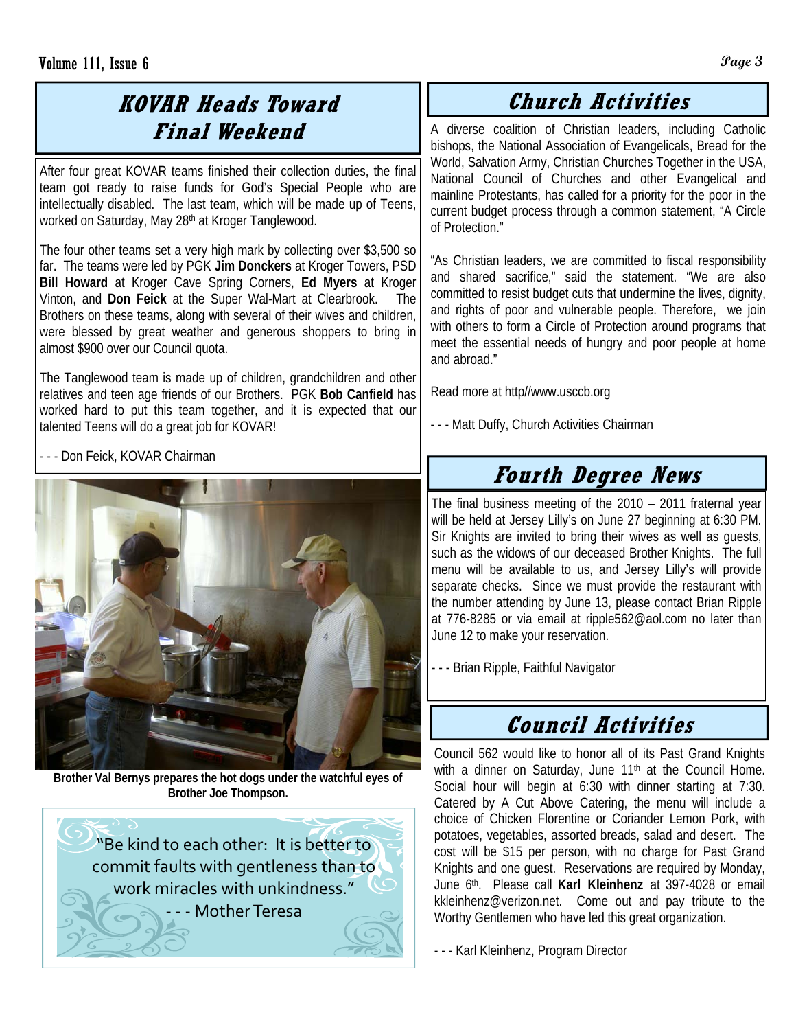## **KOVAR Heads Toward Final Weekend**

After four great KOVAR teams finished their collection duties, the final team got ready to raise funds for God's Special People who are intellectually disabled. The last team, which will be made up of Teens, worked on Saturday, May 28th at Kroger Tanglewood.

The four other teams set a very high mark by collecting over \$3,500 so far. The teams were led by PGK **Jim Donckers** at Kroger Towers, PSD **Bill Howard** at Kroger Cave Spring Corners, **Ed Myers** at Kroger Vinton, and **Don Feick** at the Super Wal-Mart at Clearbrook. The Brothers on these teams, along with several of their wives and children, were blessed by great weather and generous shoppers to bring in almost \$900 over our Council quota.

The Tanglewood team is made up of children, grandchildren and other relatives and teen age friends of our Brothers. PGK **Bob Canfield** has worked hard to put this team together, and it is expected that our talented Teens will do a great job for KOVAR!

- - - Don Feick, KOVAR Chairman



**Brother Val Bernys prepares the hot dogs under the watchful eyes of Brother Joe Thompson.** 

"Be kind to each other: It is better to commit faults with gentleness than to work miracles with unkindness." ‐ ‐ ‐ MotherTeresa

## **Church Activities**

A diverse coalition of Christian leaders, including Catholic bishops, the National Association of Evangelicals, Bread for the World, Salvation Army, Christian Churches Together in the USA, National Council of Churches and other Evangelical and mainline Protestants, has called for a priority for the poor in the current budget process through a common statement, "A Circle of Protection."

"As Christian leaders, we are committed to fiscal responsibility and shared sacrifice," said the statement. "We are also committed to resist budget cuts that undermine the lives, dignity, and rights of poor and vulnerable people. Therefore, we join with others to form a Circle of Protection around programs that meet the essential needs of hungry and poor people at home and abroad."

Read more at http//www.usccb.org

- - - Matt Duffy, Church Activities Chairman

# **Fourth Degree News**

The final business meeting of the 2010 – 2011 fraternal year will be held at Jersey Lilly's on June 27 beginning at 6:30 PM. Sir Knights are invited to bring their wives as well as guests, such as the widows of our deceased Brother Knights. The full menu will be available to us, and Jersey Lilly's will provide separate checks. Since we must provide the restaurant with the number attending by June 13, please contact Brian Ripple at 776-8285 or via email at ripple562@aol.com no later than June 12 to make your reservation.

- - - Brian Ripple, Faithful Navigator

## **Council Activities**

Council 562 would like to honor all of its Past Grand Knights with a dinner on Saturday, June  $11<sup>th</sup>$  at the Council Home. Social hour will begin at 6:30 with dinner starting at 7:30. Catered by A Cut Above Catering, the menu will include a choice of Chicken Florentine or Coriander Lemon Pork, with potatoes, vegetables, assorted breads, salad and desert. The cost will be \$15 per person, with no charge for Past Grand Knights and one guest. Reservations are required by Monday, June 6th. Please call **Karl Kleinhenz** at 397-4028 or email kkleinhenz@verizon.net. Come out and pay tribute to the Worthy Gentlemen who have led this great organization.

- - - Karl Kleinhenz, Program Director